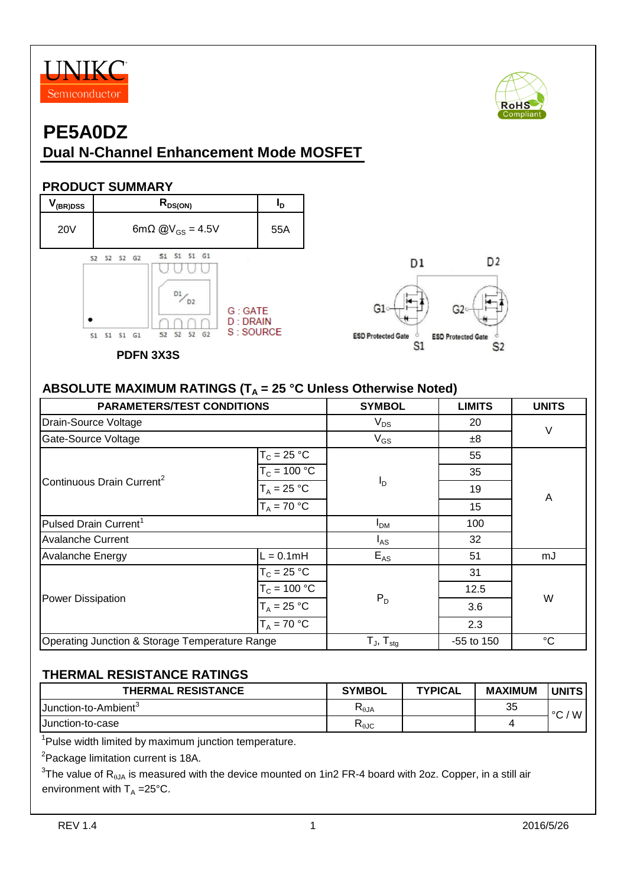



D<sub>2</sub>

 $S<sub>2</sub>$ 

**ESD Protected Gate** 

S<sub>1</sub>

## **PE5A0DZ Dual N-Channel Enhancement Mode MOSFET**

#### **PRODUCT SUMMARY**



#### ABSOLUTE MAXIMUM RATINGS (T<sub>A</sub> = 25 °C Unless Otherwise Noted)

| <b>PARAMETERS/TEST CONDITIONS</b>              | <b>SYMBOL</b>              | <b>LIMITS</b> | <b>UNITS</b>    |    |  |
|------------------------------------------------|----------------------------|---------------|-----------------|----|--|
| Drain-Source Voltage                           | $V_{DS}$                   | 20            | V               |    |  |
| Gate-Source Voltage                            |                            | $V_{GS}$      | ±8              |    |  |
|                                                | $T_c = 25 °C$              |               | 55              |    |  |
|                                                | $T_c = 100 °C$             |               |                 |    |  |
| Continuous Drain Current <sup>2</sup>          | $T_A = 25 °C$              | ΙD            | 19              | A  |  |
|                                                | $T_A = 70 °C$              |               |                 |    |  |
| Pulsed Drain Current <sup>1</sup>              | I <sub>DM</sub>            | 100           |                 |    |  |
| <b>Avalanche Current</b>                       | $I_{AS}$                   | 32            |                 |    |  |
| <b>Avalanche Energy</b>                        | $L = 0.1$ mH               | $E_{AS}$      | 51              | mJ |  |
|                                                | $T_c = 25 °C$              |               | 31              |    |  |
|                                                | $T_c = 100 °C$             |               | 12.5            |    |  |
| <b>Power Dissipation</b>                       | $T_A = 25 °C$              | $P_D$         | 3.6             | W  |  |
|                                                | $T_A = 70 °C$              |               | 2.3             |    |  |
| Operating Junction & Storage Temperature Range | $T_{J}$ , $T_{\text{stg}}$ | -55 to 150    | $\rm ^{\circ}C$ |    |  |

#### **THERMAL RESISTANCE RATINGS**

| <b>THERMAL RESISTANCE</b>   | <b>SYMBOL</b>                                      | <b>TYPICAL</b> | <b>MAXIMUM</b> | <b>UNITS</b> |
|-----------------------------|----------------------------------------------------|----------------|----------------|--------------|
| <b>IJunction-to-Ambient</b> | $\mathsf{A}$ l $\mathsf{A}$                        |                | 35             | W<br>$\sim$  |
| <b>IJunction-to-case</b>    | $\mathsf{r}_{\scriptscriptstyle{\theta\text{JC}}}$ |                |                |              |

<sup>1</sup>Pulse width limited by maximum junction temperature.

<sup>2</sup>Package limitation current is 18A.

 $^3$ The value of R<sub>θJA</sub> is measured with the device mounted on 1in2 FR-4 board with 2oz. Copper, in a still air environment with  $T_A = 25^{\circ}C$ .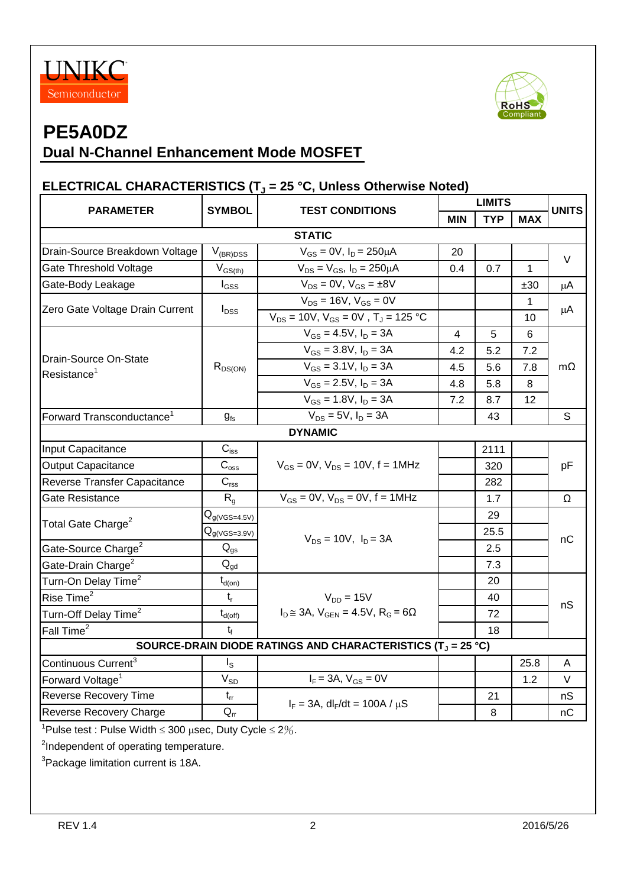



## **Dual N-Channel Enhancement Mode MOSFET**

#### **ELECTRICAL CHARACTERISTICS (T<sup>J</sup> = 25 °C, Unless Otherwise Noted)**

|                                                                                   | <b>SYMBOL</b>                                     |                                                       |            | <b>LIMITS</b> |              |              |  |
|-----------------------------------------------------------------------------------|---------------------------------------------------|-------------------------------------------------------|------------|---------------|--------------|--------------|--|
| <b>PARAMETER</b>                                                                  | <b>TEST CONDITIONS</b>                            |                                                       | <b>MIN</b> | <b>TYP</b>    | <b>MAX</b>   | <b>UNITS</b> |  |
|                                                                                   |                                                   | <b>STATIC</b>                                         |            |               |              |              |  |
| Drain-Source Breakdown Voltage                                                    | $V_{(BR)DSS}$                                     | $V_{GS} = 0V$ , $I_D = 250 \mu A$                     | 20         |               |              | V            |  |
| Gate Threshold Voltage                                                            | $\mathsf{V}_{\mathsf{GS}(\mathsf{th})}$           | $V_{DS} = V_{GS}$ , $I_D = 250 \mu A$                 | 0.4        | 0.7           | $\mathbf{1}$ |              |  |
| Gate-Body Leakage                                                                 | $I_{GSS}$                                         | $V_{DS} = 0V$ , $V_{GS} = \pm 8V$                     |            |               | ±30          | μA           |  |
| Zero Gate Voltage Drain Current                                                   |                                                   | $V_{DS} = 16V$ , $V_{GS} = 0V$                        |            |               | 1            | $\mu$ A      |  |
|                                                                                   | $I_{DSS}$                                         | $V_{DS} = 10V$ , $V_{GS} = 0V$ , $T_J = 125 °C$       |            |               | 10           |              |  |
|                                                                                   |                                                   | $V_{GS} = 4.5V$ , $I_D = 3A$                          | 4          | 5             | 6            |              |  |
|                                                                                   |                                                   | $V_{GS} = 3.8 V, I_D = 3A$                            | 4.2        | 5.2           | 7.2          |              |  |
| Drain-Source On-State<br>Resistance <sup>1</sup>                                  | $R_{DS(ON)}$                                      | $V_{GS} = 3.1 V, I_D = 3A$                            | 4.5        | 5.6           | 7.8          | $m\Omega$    |  |
|                                                                                   |                                                   | $V_{GS} = 2.5V, I_D = 3A$                             | 4.8        | 5.8           | 8            |              |  |
|                                                                                   |                                                   | $V_{GS} = 1.8 V, I_D = 3A$                            | 7.2        | 8.7           | 12           |              |  |
| Forward Transconductance <sup>1</sup>                                             | $g_{fs}$                                          | $V_{DS} = 5V$ , $I_D = 3A$                            |            | 43            |              | S            |  |
|                                                                                   |                                                   | <b>DYNAMIC</b>                                        |            |               |              |              |  |
| Input Capacitance                                                                 | $C_{iss}$                                         |                                                       |            | 2111          |              |              |  |
| <b>Output Capacitance</b>                                                         | $C_{\rm oss}$                                     | $V_{GS} = 0V$ , $V_{DS} = 10V$ , $f = 1MHz$           |            | 320           |              | pF           |  |
| Reverse Transfer Capacitance                                                      | $\mathbf{C}_{\text{rss}}$                         |                                                       |            | 282           |              |              |  |
| Gate Resistance                                                                   | $R_{g}$                                           | $V_{GS} = 0V$ , $V_{DS} = 0V$ , $f = 1MHz$            |            | 1.7           |              | Ω            |  |
|                                                                                   | ${\mathsf Q}_{g(\text{\sf VGS}=4.5\text{\sf V})}$ |                                                       |            | 29            |              | nС           |  |
| Total Gate Charge <sup>2</sup>                                                    | ${\mathsf Q}_{g(\text{\sf VGS}=3.9\text{\sf V})}$ | $V_{DS} = 10V$ , $I_D = 3A$                           |            | 25.5          |              |              |  |
| Gate-Source Charge <sup>2</sup>                                                   | $Q_{gs}$                                          |                                                       |            | 2.5           |              |              |  |
| Gate-Drain Charge <sup>2</sup>                                                    | $\mathsf{Q}_{\mathsf{gd}}$                        |                                                       |            | 7.3           |              |              |  |
| Turn-On Delay Time <sup>2</sup>                                                   | $t_{d(on)}$                                       |                                                       |            | 20            |              |              |  |
| Rise Time <sup>2</sup>                                                            | $t_{r}$                                           | $V_{DD} = 15V$                                        |            | 40            |              | nS           |  |
| Turn-Off Delay Time <sup>2</sup>                                                  | $t_{d(\text{off})}$                               | $I_D \approx 3A$ , $V_{GEN} = 4.5V$ , $R_G = 6\Omega$ |            | 72            |              |              |  |
| Fall Time <sup>2</sup>                                                            | $t_f$                                             |                                                       |            | 18            |              |              |  |
| SOURCE-DRAIN DIODE RATINGS AND CHARACTERISTICS (T <sub>J</sub> = 25 °C)           |                                                   |                                                       |            |               |              |              |  |
| Continuous Current <sup>3</sup>                                                   | ls                                                |                                                       |            |               | 25.8         | A            |  |
| Forward Voltage <sup>1</sup>                                                      | $\rm V_{SD}$                                      | $I_F = 3A, V_{GS} = 0V$                               |            |               | 1.2          | V            |  |
| <b>Reverse Recovery Time</b>                                                      | $t_{rr}$                                          |                                                       |            | 21            |              | nS           |  |
| Reverse Recovery Charge                                                           | $\mathsf{Q}_{\mathsf{rr}}$                        | $I_F = 3A$ , dl <sub>F</sub> /dt = 100A / $\mu$ S     |            | 8             |              | nC           |  |
| <sup>1</sup> Pulse test : Pulse Width $\leq$ 300 $\mu$ sec, Duty Cycle $\leq$ 2%. |                                                   |                                                       |            |               |              |              |  |

<sup>2</sup>Independent of operating temperature.

<sup>3</sup>Package limitation current is 18A.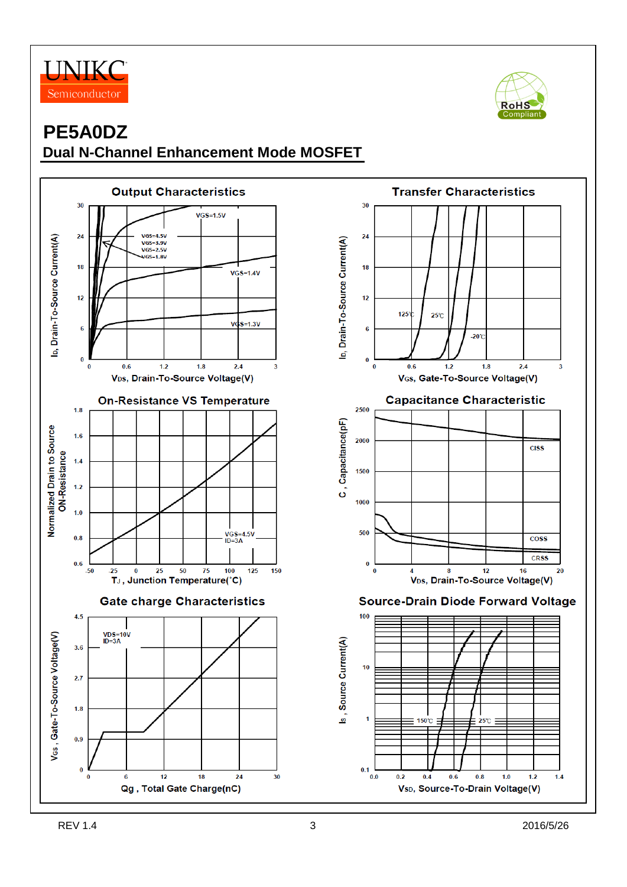



## **PE5A0DZ Dual N-Channel Enhancement Mode MOSFET**

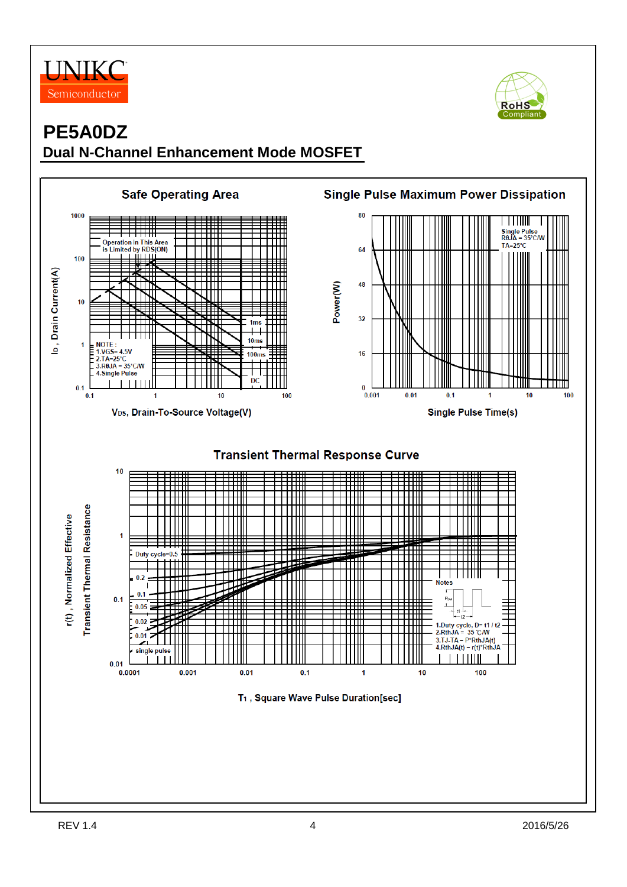



## **PE5A0DZ Dual N-Channel Enhancement Mode MOSFET**

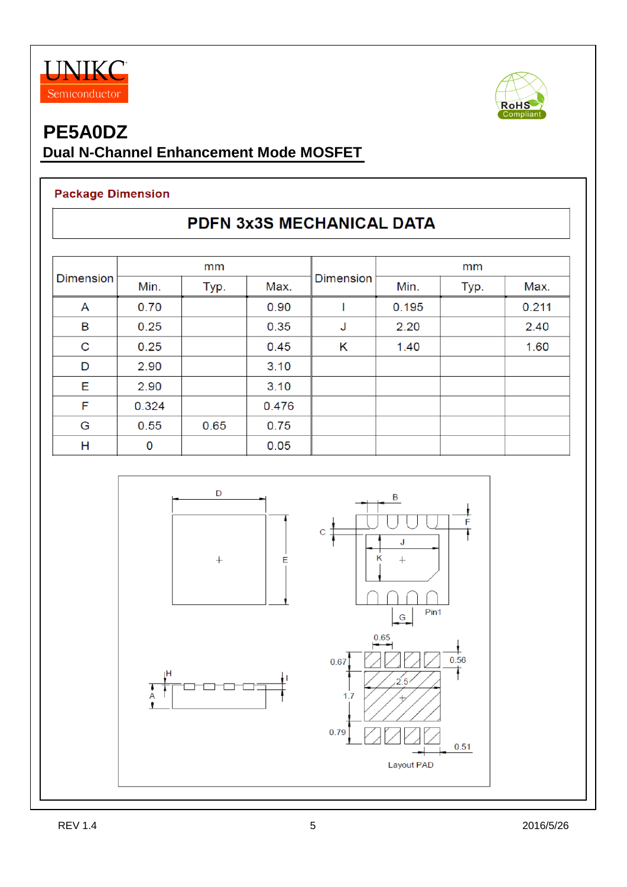



## **Dual N-Channel Enhancement Mode MOSFET**

#### **Package Dimension**

## PDFN 3x3S MECHANICAL DATA

| <b>Dimension</b> | mm    |      |       |           | mm    |      |       |
|------------------|-------|------|-------|-----------|-------|------|-------|
|                  | Min.  | Typ. | Max.  | Dimension | Min.  | Typ. | Max.  |
| A                | 0.70  |      | 0.90  |           | 0.195 |      | 0.211 |
| B                | 0.25  |      | 0.35  | J         | 2.20  |      | 2.40  |
| C                | 0.25  |      | 0.45  | Κ         | 1.40  |      | 1.60  |
| D                | 2.90  |      | 3.10  |           |       |      |       |
| Ε                | 2.90  |      | 3.10  |           |       |      |       |
| F                | 0.324 |      | 0.476 |           |       |      |       |
| G                | 0.55  | 0.65 | 0.75  |           |       |      |       |
| Н                | 0     |      | 0.05  |           |       |      |       |

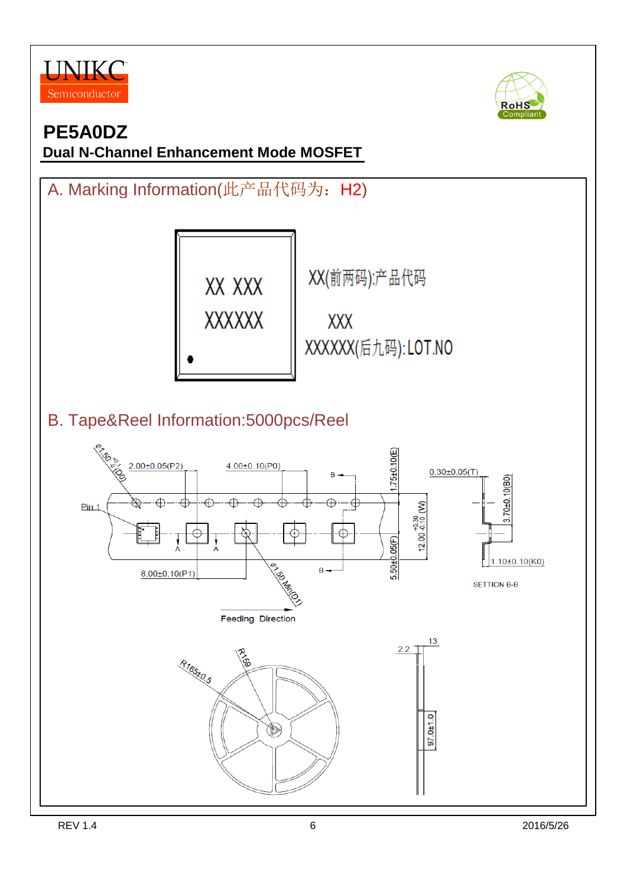



**Dual N-Channel Enhancement Mode MOSFET**

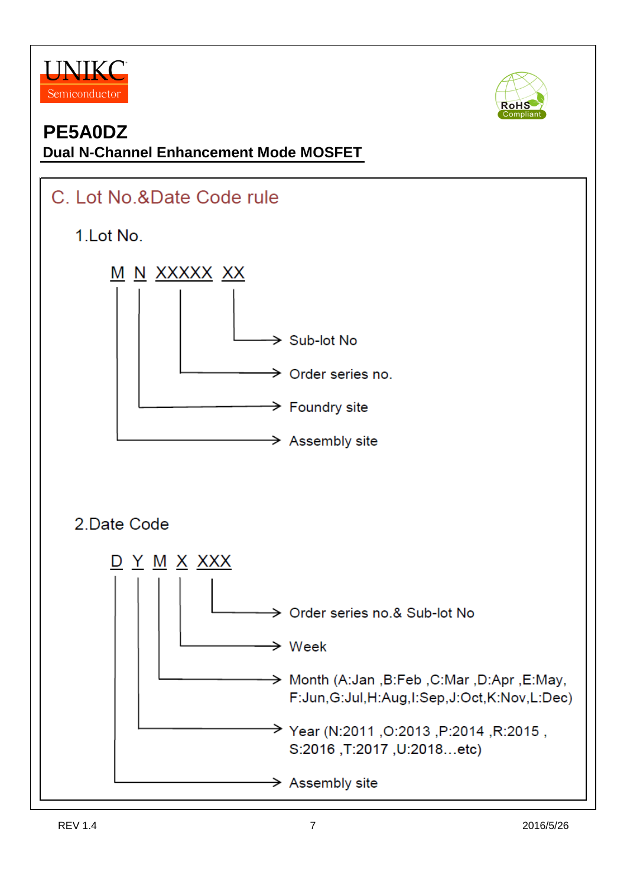



### **PE5A0DZ Dual N-Channel Enhancement Mode MOSFET**